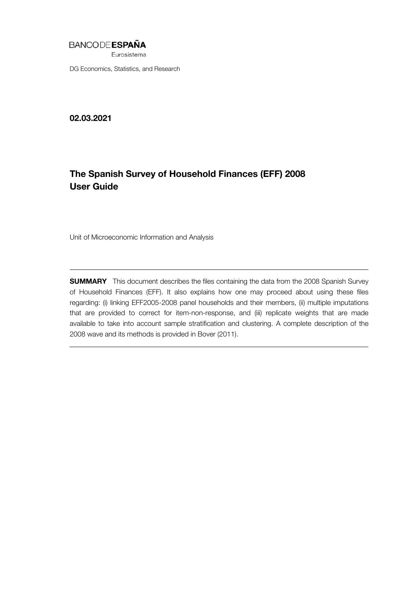## **BANCODE ESPAÑA**

Eurosistema

DG Economics, Statistics, and Research

02.03.2021

# The Spanish Survey of Household Finances (EFF) 2008 User Guide

Unit of Microeconomic Information and Analysis

**SUMMARY** This document describes the files containing the data from the 2008 Spanish Survey of Household Finances (EFF). It also explains how one may proceed about using these files regarding: (i) linking EFF2005-2008 panel households and their members, (ii) multiple imputations that are provided to correct for item-non-response, and (iii) replicate weights that are made available to take into account sample stratification and clustering. A complete description of the 2008 wave and its methods is provided in Bover (2011).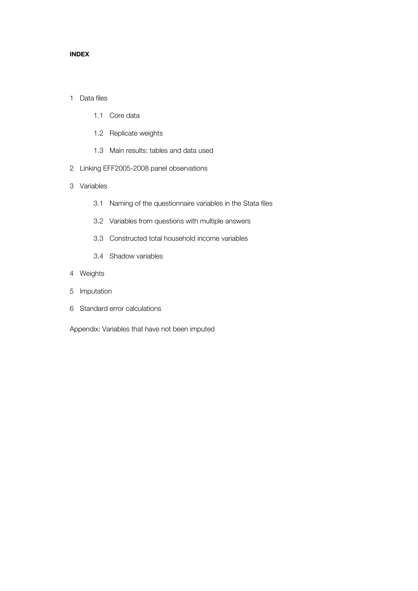#### INDEX

### 1 Data files

- 1.1 Core data
- 1.2 Replicate weights
- 1.3 Main results: tables and data used
- 2 Linking EFF2005-2008 panel observations
- 3 Variables
	- 3.1 Naming of the questionnaire variables in the Stata files
	- 3.2 Variables from questions with multiple answers
	- 3.3 Constructed total household income variables
	- 3.4 Shadow variables
- 4 Weights
- 5 Imputation
- 6 Standard error calculations

Appendix: Variables that have not been imputed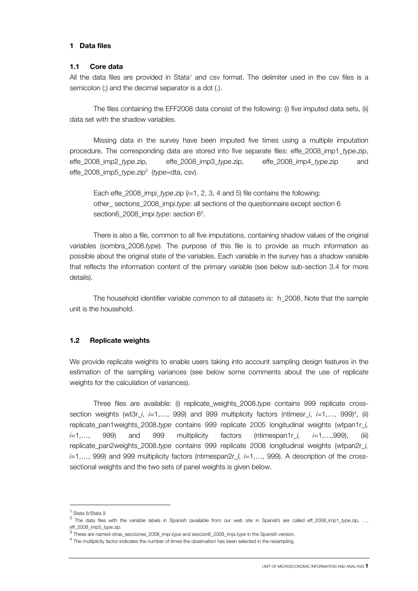#### 1 Data files

#### 1.1 Core data

All the data files are provided in Stata<sup>1</sup> and csv format. The delimiter used in the csv files is a semicolon (;) and the decimal separator is a dot (.).

 The files containing the EFF2008 data consist of the following: (i) five imputed data sets, (ii) data set with the shadow variables.

 Missing data in the survey have been imputed five times using a multiple imputation procedure. The corresponding data are stored into five separate files: effe\_2008\_imp1\_*type*.zip, effe\_2008\_imp2\_*type*.zip, effe\_2008\_imp3\_*type*.zip, effe\_2008\_imp4\_*type*.zip and effe\_2008\_imp5\_*type*.zip2 (*type*=dta, csv).

 Each effe\_2008\_imp*i*\_*type*.zip (*i*=1, 2, 3, 4 and 5) file contains the following: other\_ sections\_2008\_imp*i*.*type*: all sections of the questionnaire except section 6 section6\_2008\_imp*i*.*type*: section 63 .

 There is also a file, common to all five imputations, containing shadow values of the original variables (sombra\_2008.*type*). The purpose of this file is to provide as much information as possible about the original state of the variables. Each variable in the survey has a shadow variable that reflects the information content of the primary variable (see below sub-section 3.4 for more details).

 The household identifier variable common to all datasets is: h\_2008. Note that the sample unit is the household.

#### 1.2 Replicate weights

We provide replicate weights to enable users taking into account sampling design features in the estimation of the sampling variances (see below some comments about the use of replicate weights for the calculation of variances).

 Three files are available: (i) replicate\_weights\_2008.*type* contains 999 replicate crosssection weights (wt3r\_*i*, *i*=1,…, 999) and 999 multiplicity factors (ntimesr\_*i*, *i*=1,…, 999)4 , (ii) replicate\_pan1weights\_2008.*type* contains 999 replicate 2005 longitudinal weights (wtpan1r\_*i, i*=1,…, 999) and 999 multiplicity factors (ntimespan1r\_*i, i*=1,…,999), (iii) replicate\_pan2weights\_2008.*type* contains 999 replicate 2008 longitudinal weights (wtpan2r\_*i, i*=1,…, 999) and 999 multiplicity factors (ntimespan2r\_*I, i*=1,…, 999). A description of the crosssectional weights and the two sets of panel weights is given below.

j

<sup>1</sup> Stata 8/Stata 9

<sup>2</sup> The data files with the variable labels in Spanish (available from our web site in Spanish) are called eff\_2008\_imp1*\_type*.zip, …, eff\_2008\_imp5\_type.zip.<br><sup>3</sup> These are named otras\_secciones\_2008\_impi.type and seccion6\_2008\_impi.type in the Spanish version.

<sup>&</sup>lt;sup>o</sup> These are named otras\_secciones\_2008\_imp*i.type* and seccion6\_2008\_imp*i.type* in the Spanish version.<br><sup>4</sup> The multiplicity factor indicates the number of times the observation has been selected in the resampling.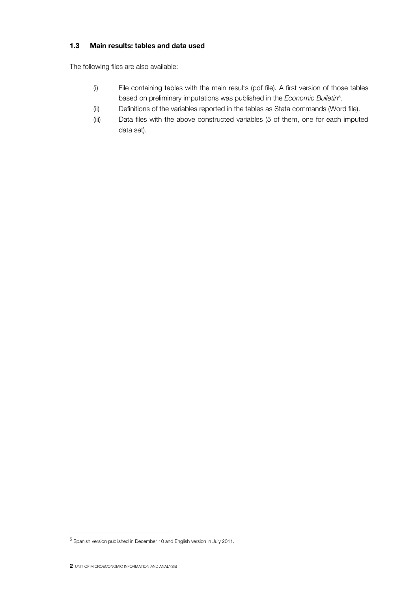## 1.3 Main results: tables and data used

The following files are also available:

- (i) File containing tables with the main results (pdf file). A first version of those tables based on preliminary imputations was published in the *Economic Bulletin*<sup>5</sup> .
- (ii) Definitions of the variables reported in the tables as Stata commands (Word file).
- (iii) Data files with the above constructed variables (5 of them, one for each imputed data set).

1

<sup>&</sup>lt;sup>5</sup> Spanish version published in December 10 and English version in July 2011.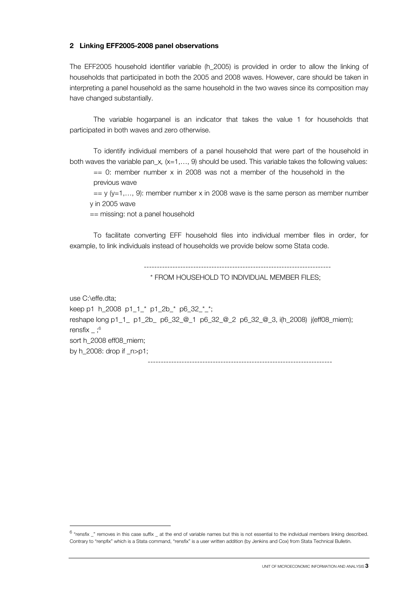#### 2 Linking EFF2005-2008 panel observations

The EFF2005 household identifier variable (h\_2005) is provided in order to allow the linking of households that participated in both the 2005 and 2008 waves. However, care should be taken in interpreting a panel household as the same household in the two waves since its composition may have changed substantially.

 The variable hogarpanel is an indicator that takes the value 1 for households that participated in both waves and zero otherwise.

 To identify individual members of a panel household that were part of the household in both waves the variable pan\_x*,* (x=1,…, 9) should be used. This variable takes the following values:

 $== 0$ : member number x in 2008 was not a member of the household in the previous wave

 $=$  y (y=1,..., 9): member number x in 2008 wave is the same person as member number y in 2005 wave

== missing: not a panel household

 To facilitate converting EFF household files into individual member files in order, for example, to link individuals instead of households we provide below some Stata code.

------------------------------------------------------------------------

\* FROM HOUSEHOLD TO INDIVIDUAL MEMBER FILES;

use C:\effe.dta;

j

keep p1 h\_2008 p1\_1\_\* p1\_2b\_\* p6\_32\_\*\_\*; reshape long p1\_1\_ p1\_2b\_ p6\_32\_@\_1 p6\_32\_@\_2 p6\_32\_@\_3, i(h\_2008) j(eff08\_miem); rensfix  $:$ <sup>6</sup> sort h\_2008 eff08\_miem; by h $2008$ : drop if  $n>p1$ ;

 <sup>-----------------------------------------------------------------------</sup> 

<sup>&</sup>lt;sup>6</sup> "rensfix \_" removes in this case suffix \_ at the end of variable names but this is not essential to the individual members linking described. Contrary to "renpfix" which is a Stata command, "rensfix" is a user written addition (by Jenkins and Cox) from Stata Technical Bulletin.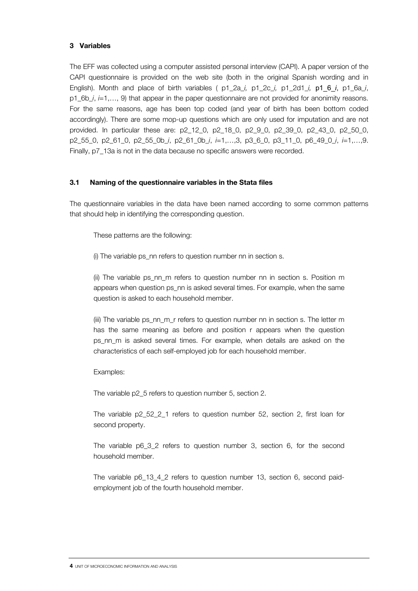### 3 Variables

The EFF was collected using a computer assisted personal interview (CAPI). A paper version of the CAPI questionnaire is provided on the web site (both in the original Spanish wording and in English). Month and place of birth variables ( p1\_2a\_*i,* p1\_2c\_*i,* p1\_2d1\_*i,* p1\_6\_*i*, p1\_6a\_*i*, p1\_6b\_*i*, *i*=1,…, 9) that appear in the paper questionnaire are not provided for anonimity reasons. For the same reasons, age has been top coded (and year of birth has been bottom coded accordingly). There are some mop-up questions which are only used for imputation and are not provided. In particular these are: p2\_12\_0, p2\_18\_0, p2\_9\_0, p2\_39\_0, p2\_43\_0, p2\_50\_0, p2\_55\_0, p2\_61\_0, p2\_55\_0b\_*i*, p2\_61\_0b\_*i*, *i*=1,…,3, p3\_6\_0, p3\_11\_0, p6\_49\_0\_*i*, *i*=1,…,9. Finally, p7\_13a is not in the data because no specific answers were recorded.

## 3.1 Naming of the questionnaire variables in the Stata files

The questionnaire variables in the data have been named according to some common patterns that should help in identifying the corresponding question.

These patterns are the following:

(i) The variable ps\_nn refers to question number nn in section s.

(ii) The variable ps\_nn\_m refers to question number nn in section s. Position m appears when question ps\_nn is asked several times. For example, when the same question is asked to each household member.

(iii) The variable ps\_nn\_m\_r refers to question number nn in section s. The letter m has the same meaning as before and position r appears when the question ps nn m is asked several times. For example, when details are asked on the characteristics of each self-employed job for each household member.

Examples:

The variable p2\_5 refers to question number 5, section 2.

The variable p2\_52\_2\_1 refers to question number 52, section 2, first loan for second property.

The variable p6\_3\_2 refers to question number 3, section 6, for the second household member.

The variable p6\_13\_4\_2 refers to question number 13, section 6, second paidemployment job of the fourth household member.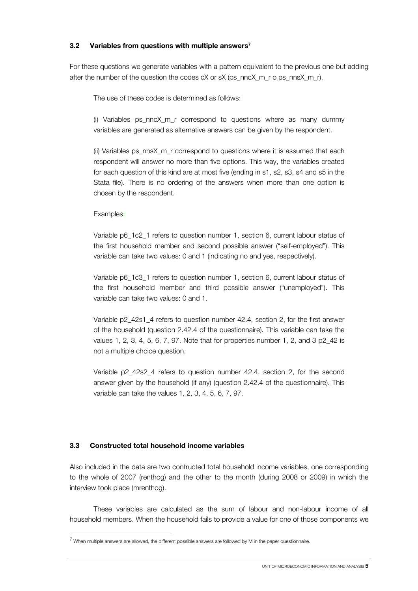## 3.2 Variables from questions with multiple answers<sup>7</sup>

For these questions we generate variables with a pattern equivalent to the previous one but adding after the number of the question the codes cX or sX (ps\_nncX\_m\_r o ps\_nnsX\_m\_r).

The use of these codes is determined as follows:

(i) Variables  $ps\_nncX_m_r$  correspond to questions where as many dummy variables are generated as alternative answers can be given by the respondent.

(ii) Variables ps\_nnsX\_m\_r correspond to questions where it is assumed that each respondent will answer no more than five options. This way, the variables created for each question of this kind are at most five (ending in s1, s2, s3, s4 and s5 in the Stata file). There is no ordering of the answers when more than one option is chosen by the respondent.

Examples:

1

Variable p6\_1c2\_1 refers to question number 1, section 6, current labour status of the first household member and second possible answer ("self-employed"). This variable can take two values: 0 and 1 (indicating no and yes, respectively).

Variable p6\_1c3\_1 refers to question number 1, section 6, current labour status of the first household member and third possible answer ("unemployed"). This variable can take two values: 0 and 1.

Variable p2\_42s1\_4 refers to question number 42.4, section 2, for the first answer of the household (question 2.42.4 of the questionnaire). This variable can take the values 1, 2, 3, 4, 5, 6, 7, 97. Note that for properties number 1, 2, and 3 p2\_42 is not a multiple choice question.

Variable p2\_42s2\_4 refers to question number 42.4, section 2, for the second answer given by the household (if any) (question 2.42.4 of the questionnaire). This variable can take the values 1, 2, 3, 4, 5, 6, 7, 97.

## 3.3 Constructed total household income variables

Also included in the data are two contructed total household income variables, one corresponding to the whole of 2007 (renthog) and the other to the month (during 2008 or 2009) in which the interview took place (mrenthog).

 These variables are calculated as the sum of labour and non-labour income of all household members. When the household fails to provide a value for one of those components we

 $^7$  When multiple answers are allowed, the different possible answers are followed by M in the paper questionnaire.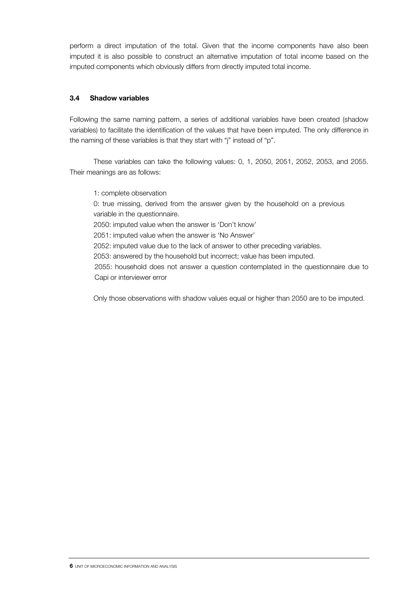perform a direct imputation of the total. Given that the income components have also been imputed it is also possible to construct an alternative imputation of total income based on the imputed components which obviously differs from directly imputed total income.

## 3.4 Shadow variables

Following the same naming pattern, a series of additional variables have been created (shadow variables) to facilitate the identification of the values that have been imputed. The only difference in the naming of these variables is that they start with "j" instead of "p".

 These variables can take the following values: 0, 1, 2050, 2051, 2052, 2053, and 2055. Their meanings are as follows:

1: complete observation 0: true missing, derived from the answer given by the household on a previous variable in the questionnaire. 2050: imputed value when the answer is 'Don't know' 2051: imputed value when the answer is 'No Answer' 2052: imputed value due to the lack of answer to other preceding variables. 2053: answered by the household but incorrect; value has been imputed. 2055: household does not answer a question contemplated in the questionnaire due to Capi or interviewer error

Only those observations with shadow values equal or higher than 2050 are to be imputed.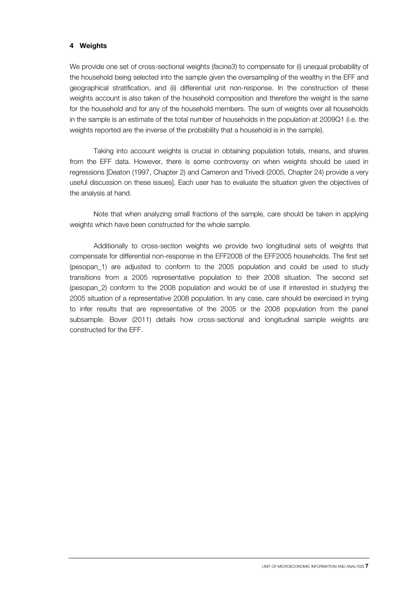### 4 Weights

We provide one set of cross-sectional weights (*facine3*) to compensate for (i) unequal probability of the household being selected into the sample given the oversampling of the wealthy in the EFF and geographical stratification, and (ii) differential unit non-response. In the construction of these weights account is also taken of the household composition and therefore the weight is the same for the household and for any of the household members. The sum of weights over all households in the sample is an estimate of the total number of households in the population at 2009Q1 (i.e. the weights reported are the inverse of the probability that a household is in the sample).

 Taking into account weights is crucial in obtaining population totals, means, and shares from the EFF data. However, there is some controversy on when weights should be used in regressions [Deaton (1997, Chapter 2) and Cameron and Trivedi (2005, Chapter 24) provide a very useful discussion on these issues]. Each user has to evaluate the situation given the objectives of the analysis at hand.

 Note that when analyzing small fractions of the sample, care should be taken in applying weights which have been constructed for the whole sample.

 Additionally to cross-section weights we provide two longitudinal sets of weights that compensate for differential non-response in the EFF2008 of the EFF2005 households. The first set (pesopan\_1) are adjusted to conform to the 2005 population and could be used to study transitions from a 2005 representative population to their 2008 situation. The second set (pesopan\_2) conform to the 2008 population and would be of use if interested in studying the 2005 situation of a representative 2008 population. In any case, care should be exercised in trying to infer results that are representative of the 2005 or the 2008 population from the panel subsample. Bover (2011) details how cross-sectional and longitudinal sample weights are constructed for the EFF.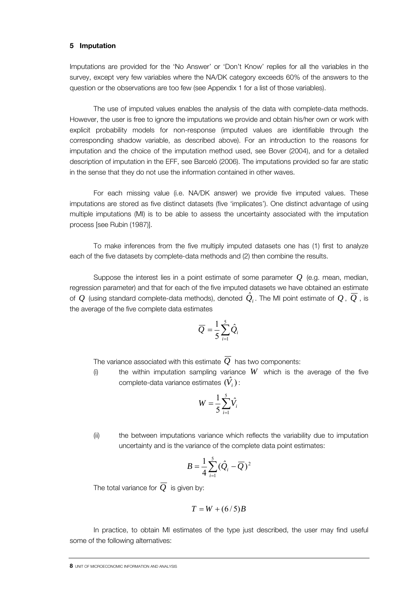#### 5 Imputation

Imputations are provided for the 'No Answer' or 'Don't Know' replies for all the variables in the survey, except very few variables where the NA/DK category exceeds 60% of the answers to the question or the observations are too few (see Appendix 1 for a list of those variables).

 The use of imputed values enables the analysis of the data with complete-data methods. However, the user is free to ignore the imputations we provide and obtain his/her own or work with explicit probability models for non-response (imputed values are identifiable through the corresponding shadow variable, as described above). For an introduction to the reasons for imputation and the choice of the imputation method used, see Bover (2004), and for a detailed description of imputation in the EFF, see Barceló (2006). The imputations provided so far are static in the sense that they do not use the information contained in other waves.

 For each missing value (i.e. NA/DK answer) we provide five imputed values. These imputations are stored as five distinct datasets (five 'implicates'). One distinct advantage of using multiple imputations (MI) is to be able to assess the uncertainty associated with the imputation process [see Rubin (1987)].

 To make inferences from the five multiply imputed datasets one has (1) first to analyze each of the five datasets by complete-data methods and (2) then combine the results.

 Suppose the interest lies in a point estimate of some parameter *Q* (e.g. mean, median, regression parameter) and that for each of the five imputed datasets we have obtained an estimate of  $Q$  (using standard complete-data methods), denoted  $\hat{Q}_i$ . The MI point estimate of  $Q$  ,  $\overline{Q}$  , is the average of the five complete data estimates

$$
\overline{Q} = \frac{1}{5} \sum_{i=1}^{5} \hat{Q}_i
$$

The variance associated with this estimate *Q* has two components:

(i) the within imputation sampling variance  $W$  which is the average of the five complete-data variance estimates  $(\hat{V}_i)$  :

$$
W = \frac{1}{5} \sum_{i=1}^{5} \hat{V}_i
$$

(ii) the between imputations variance which reflects the variability due to imputation uncertainty and is the variance of the complete data point estimates:

$$
B=\frac{1}{4}\sum_{i=1}^5(\hat{Q}_i-\overline{Q})^2
$$

The total variance for  $\overline{Q}$  is given by:

$$
T = W + (6/5)B
$$

 In practice, to obtain MI estimates of the type just described, the user may find useful some of the following alternatives: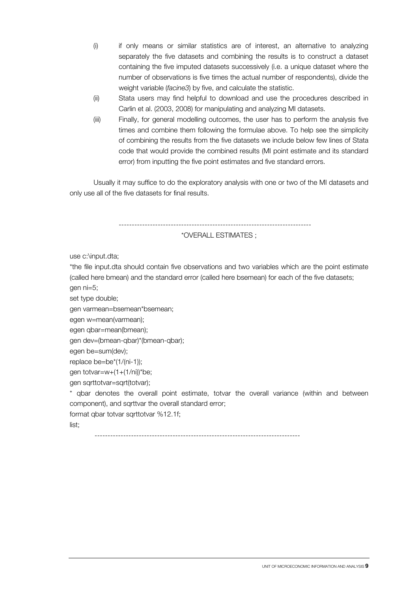- (i) if only means or similar statistics are of interest, an alternative to analyzing separately the five datasets and combining the results is to construct a dataset containing the five imputed datasets successively (i.e. a unique dataset where the number of observations is five times the actual number of respondents), divide the weight variable (*facine3*) by five, and calculate the statistic.
- (ii) Stata users may find helpful to download and use the procedures described in Carlin et al. (2003, 2008) for manipulating and analyzing MI datasets.
- (iii) Finally, for general modelling outcomes, the user has to perform the analysis five times and combine them following the formulae above. To help see the simplicity of combining the results from the five datasets we include below few lines of Stata code that would provide the combined results (MI point estimate and its standard error) from inputting the five point estimates and five standard errors.

 Usually it may suffice to do the exploratory analysis with one or two of the MI datasets and only use all of the five datasets for final results.

--------------------------------------------------------------------------

\*OVERALL ESTIMATES ;

use c:\input.dta;

\*the file input.dta should contain five observations and two variables which are the point estimate (called here bmean) and the standard error (called here bsemean) for each of the five datasets; gen ni=5;

set type double;

```
gen varmean=bsemean*bsemean;
```
egen w=mean(varmean);

egen qbar=mean(bmean);

gen dev=(bmean-qbar)\*(bmean-qbar);

egen be=sum(dev);

replace be=be\*(1/(ni-1));

gen totvar=w+(1+(1/ni))\*be;

gen sqrttotvar=sqrt(totvar);

\* qbar denotes the overall point estimate, totvar the overall variance (within and between component), and sqrttvar the overall standard error;

format qbar totvar sqrttotvar %12.1f;

list;

-------------------------------------------------------------------------------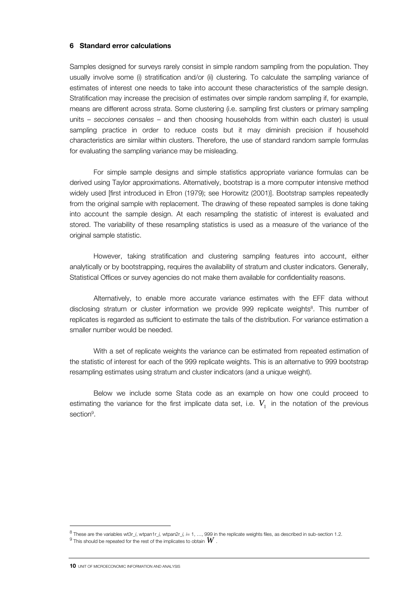#### 6 Standard error calculations

Samples designed for surveys rarely consist in simple random sampling from the population. They usually involve some (i) stratification and/or (ii) clustering. To calculate the sampling variance of estimates of interest one needs to take into account these characteristics of the sample design. Stratification may increase the precision of estimates over simple random sampling if, for example, means are different across strata. Some clustering (i.e. sampling first clusters or primary sampling units – *secciones censales –* and then choosing households from within each cluster) is usual sampling practice in order to reduce costs but it may diminish precision if household characteristics are similar within clusters. Therefore, the use of standard random sample formulas for evaluating the sampling variance may be misleading.

 For simple sample designs and simple statistics appropriate variance formulas can be derived using Taylor approximations. Alternatively, bootstrap is a more computer intensive method widely used [first introduced in Efron (1979); see Horowitz (2001)]. Bootstrap samples repeatedly from the original sample with replacement. The drawing of these repeated samples is done taking into account the sample design. At each resampling the statistic of interest is evaluated and stored. The variability of these resampling statistics is used as a measure of the variance of the original sample statistic.

 However, taking stratification and clustering sampling features into account, either analytically or by bootstrapping, requires the availability of stratum and cluster indicators. Generally, Statistical Offices or survey agencies do not make them available for confidentiality reasons.

 Alternatively, to enable more accurate variance estimates with the EFF data without disclosing stratum or cluster information we provide 999 replicate weights<sup>8</sup>. This number of replicates is regarded as sufficient to estimate the tails of the distribution. For variance estimation a smaller number would be needed.

 With a set of replicate weights the variance can be estimated from repeated estimation of the statistic of interest for each of the 999 replicate weights. This is an alternative to 999 bootstrap resampling estimates using stratum and cluster indicators (and a unique weight).

 Below we include some Stata code as an example on how one could proceed to estimating the variance for the first implicate data set, i.e.  $V_1$  in the notation of the previous section<sup>9</sup>.

10 UNIT OF MICROECONOMIC INFORMATION AND ANALYSIS

j

<sup>8</sup> These are the variables wt3r\_*i, wtpan1r\_i, wtpan2r\_i, i=* 1, …, 999 in the replicate weights files, as described in sub-section 1.2.<br><sup>9</sup> This should be repeated for the rest of the implicates to obtain  $\bm{W}$ 

 $^{9}$  This should be repeated for the rest of the implicates to obtain  $W$  .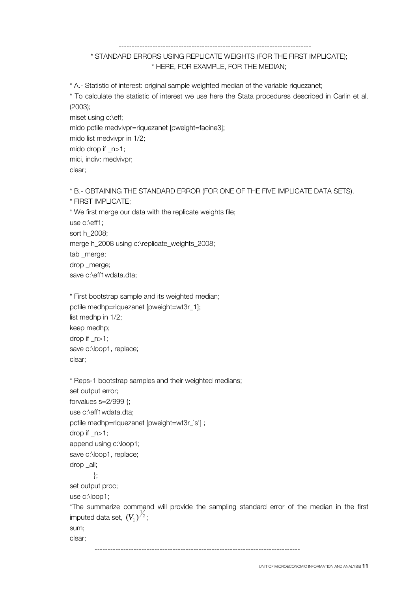#### --------------------------------------------------------------------------

## \* STANDARD ERRORS USING REPLICATE WEIGHTS (FOR THE FIRST IMPLICATE); \* HERE, FOR EXAMPLE, FOR THE MEDIAN;

\* A.- Statistic of interest: original sample weighted median of the variable riquezanet;

\* To calculate the statistic of interest we use here the Stata procedures described in Carlin et al. (2003);

```
miset using c:\eff; 
mido pctile medvivpr=riquezanet [pweight=facine3]; 
mido list medvivpr in 1/2; 
mido drop if _n>1; 
mici, indiv: medvivpr; 
clear;
```
\* B.- OBTAINING THE STANDARD ERROR (FOR ONE OF THE FIVE IMPLICATE DATA SETS).

```
* FIRST IMPLICATE;
```
\* We first merge our data with the replicate weights file; use c:\eff1; sort h\_2008; merge h\_2008 using c:\replicate\_weights\_2008; tab \_merge; drop \_merge; save c:\eff1wdata.dta;

```
* First bootstrap sample and its weighted median; 
pctile medhp=riquezanet [pweight=wt3r_1]; 
list medhp in 1/2; 
keep medhp; 
drop if _n>1; 
save c:\loop1, replace;
clear;
```

```
* Reps-1 bootstrap samples and their weighted medians; 
set output error;
forvalues s=2/999 {; 
use c:\eff1wdata.dta; 
pctile medhp=riquezanet [pweight=wt3r_`s'] ; 
drop if _n>1; 
append using c:\loop1; 
save c:\loop1, replace;
drop all:
         }; 
set output proc; 
use c:\loop1; 
*The summarize command will provide the sampling standard error of the median in the first 
imputed data set, (V_1)^{\frac{1}{2}} ;
sum; 
clear; 
 -------------------------------------------------------------------------------
```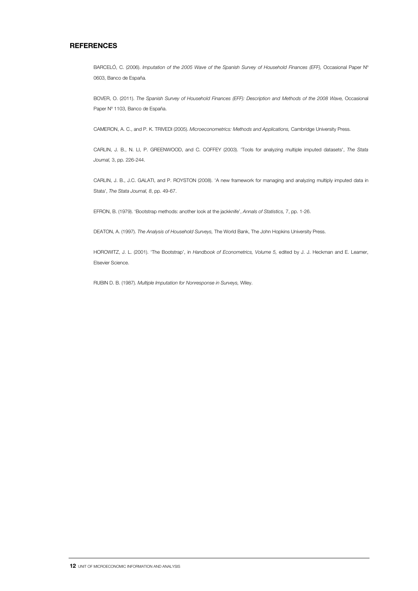#### **REFERENCES**

BARCELÓ, C. (2006). *Imputation of the 2005 Wave of the Spanish Survey of Household Finances (EFF)*, Occasional Paper N° 0603, Banco de España*.* 

BOVER, O. (2011). *The Spanish Survey of Household Finances (EFF): Description and Methods of the 2008 Wave, Occasional* Paper Nº 1103, Banco de España.

CAMERON, A. C., and P. K. TRIVEDI (2005). *Microeconometrics: Methods and Applications,* Cambridge University Press.

CARLIN, J. B., N. LI, P. GREENWOOD, and C. COFFEY (2003). 'Tools for analyzing multiple imputed datasets', *The Stata Journal,* 3, pp. 226-244.

CARLIN, J. B., J.C. GALATI, and P. ROYSTON (2008). 'A new framework for managing and analyzing multiply imputed data in Stata', *The Stata Journal, 8*, pp. 49-67.

EFRON, B. (1979). 'Bootstrap methods: another look at the jackknife', *Annals of Statistics,* 7, pp. 1-26.

DEATON, A. (1997). *The Analysis of Household Surveys,* The World Bank, The John Hopkins University Press.

HOROWITZ, J. L. (2001). 'The Bootstrap', in *Handbook of Econometrics, Volume 5,* edited by J. J. Heckman and E. Leamer, Elsevier Science.

RUBIN D. B. (1987). *Multiple Imputation for Nonresponse in Surveys,* Wiley.